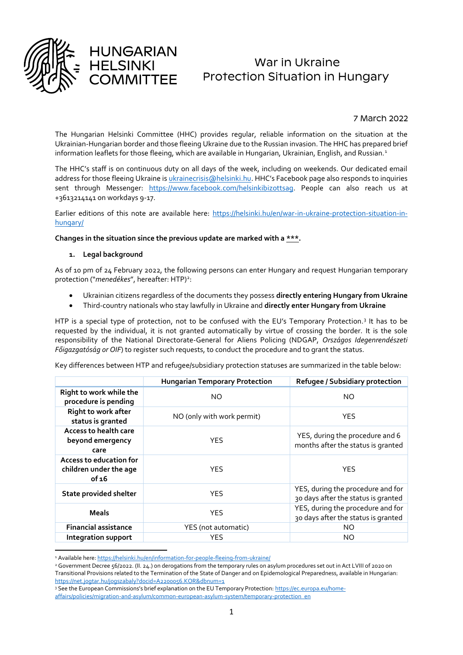

1

# War in Ukraine Protection Situation in Hungary

7 March 2022

The Hungarian Helsinki Committee (HHC) provides regular, reliable information on the situation at the Ukrainian-Hungarian border and those fleeing Ukraine due to the Russian invasion. The HHC has prepared brief information leaflets for those fleeing, which are available in Hungarian, Ukrainian, English, and Russian.<sup>1</sup>

The HHC's staff is on continuous duty on all days of the week, including on weekends. Our dedicated email address for those fleeing Ukraine is *ukrainecrisis@helsinki.hu.* HHC's Facebook page also responds to inquiries sent through Messenger: [https://www.facebook.com/helsinkibizottsag.](https://www.facebook.com/helsinkibizottsag) People can also reach us at +3613214141 on workdays 9-17.

Earlier editions of this note are available here: [https://helsinki.hu/en/war-in-ukraine-protection-situation-in](https://helsinki.hu/en/war-in-ukraine-protection-situation-in-hungary/)[hungary/](https://helsinki.hu/en/war-in-ukraine-protection-situation-in-hungary/)

#### **Changes in the situation since the previous update are marked with a \*\*\*.**

#### **1. Legal background**

HUNGARIAN

**HELSINKI** 

As of 10 pm of 24 February 2022, the following persons can enter Hungary and request Hungarian temporary protection ("menedékes", hereafter: HTP)<sup>2</sup>:

- Ukrainian citizens regardless of the documents they possess **directly entering Hungary from Ukraine**
- Third-country nationals who stay lawfully in Ukraine and **directly enter Hungary from Ukraine**

HTP is a special type of protection, not to be confused with the EU's Temporary Protection.<sup>3</sup> It has to be requested by the individual, it is not granted automatically by virtue of crossing the border. It is the sole responsibility of the National Directorate-General for Aliens Policing (NDGAP, *Országos Idegenrendészeti Főigazgatóság or OIF*) to register such requests, to conduct the procedure and to grant the status.

Key differences between HTP and refugee/subsidiary protection statuses are summarized in the table below:

|                                                            | <b>Hungarian Temporary Protection</b> | Refugee / Subsidiary protection                                          |  |  |
|------------------------------------------------------------|---------------------------------------|--------------------------------------------------------------------------|--|--|
| Right to work while the<br>procedure is pending            | NO.                                   | <b>NO</b>                                                                |  |  |
| Right to work after<br>status is granted                   | NO (only with work permit)            | <b>YES</b>                                                               |  |  |
| Access to health care<br>beyond emergency<br>care          | <b>YES</b>                            | YES, during the procedure and 6<br>months after the status is granted    |  |  |
| Access to education for<br>children under the age<br>of 16 | <b>YES</b>                            | <b>YES</b>                                                               |  |  |
| <b>State provided shelter</b>                              | <b>YES</b>                            | YES, during the procedure and for<br>30 days after the status is granted |  |  |
| <b>Meals</b>                                               | <b>YES</b>                            | YES, during the procedure and for<br>30 days after the status is granted |  |  |
| <b>Financial assistance</b>                                | YES (not automatic)                   | NO.                                                                      |  |  |
| <b>Integration support</b>                                 | <b>YES</b>                            | NO.                                                                      |  |  |

<sup>&</sup>lt;sup>1</sup> Available here[: https://helsinki.hu/en/information-for-people-fleeing-from-ukraine/](https://helsinki.hu/en/information-for-people-fleeing-from-ukraine/)

<sup>2</sup> Government Decree 56/2022. (II. 24.) on derogations from the temporary rules on asylum procedures set out in Act LVIII of 2020 on Transitional Provisions related to the Termination of the State of Danger and on Epidemological Preparedness, available in Hungarian: <https://net.jogtar.hu/jogszabaly?docid=A2200056.KOR&dbnum=1>

<sup>3</sup> See the European Commissions's brief explanation on the EU Temporary Protection: [https://ec.europa.eu/home-](https://ec.europa.eu/home-affairs/policies/migration-and-asylum/common-european-asylum-system/temporary-protection_en)

[affairs/policies/migration-and-asylum/common-european-asylum-system/temporary-protection\\_en](https://ec.europa.eu/home-affairs/policies/migration-and-asylum/common-european-asylum-system/temporary-protection_en)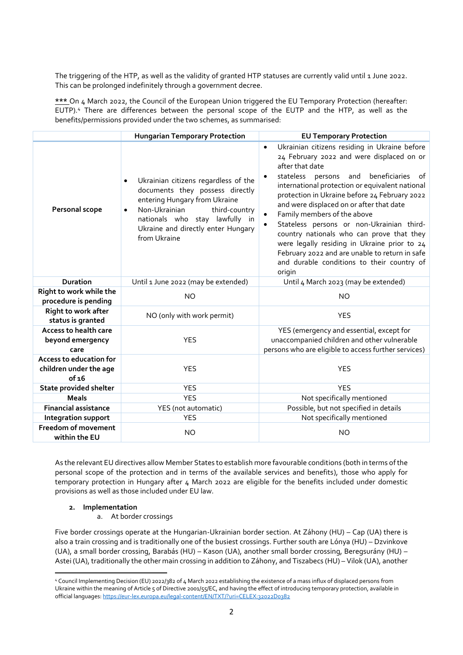The triggering of the HTP, as well as the validity of granted HTP statuses are currently valid until 1 June 2022. This can be prolonged indefinitely through a government decree.

**\*\*\*** On 4 March 2022, the Council of the European Union triggered the EU Temporary Protection (hereafter: EUTP).<sup>4</sup> There are differences between the personal scope of the EUTP and the HTP, as well as the benefits/permissions provided under the two schemes, as summarised:

|                                                                   | <b>Hungarian Temporary Protection</b>                                                                                                                                                                                                                        | <b>EU Temporary Protection</b>                                                                                                                                                                                                                                                                                                                                                                                                                                                                                                                                                                                                                       |  |  |
|-------------------------------------------------------------------|--------------------------------------------------------------------------------------------------------------------------------------------------------------------------------------------------------------------------------------------------------------|------------------------------------------------------------------------------------------------------------------------------------------------------------------------------------------------------------------------------------------------------------------------------------------------------------------------------------------------------------------------------------------------------------------------------------------------------------------------------------------------------------------------------------------------------------------------------------------------------------------------------------------------------|--|--|
| <b>Personal scope</b>                                             | Ukrainian citizens regardless of the<br>$\bullet$<br>documents they possess directly<br>entering Hungary from Ukraine<br>Non-Ukrainian<br>third-country<br>$\bullet$<br>nationals who stay lawfully in<br>Ukraine and directly enter Hungary<br>from Ukraine | Ukrainian citizens residing in Ukraine before<br>$\bullet$<br>24 February 2022 and were displaced on or<br>after that date<br>beneficiaries<br>stateless persons and<br>of<br>$\bullet$<br>international protection or equivalent national<br>protection in Ukraine before 24 February 2022<br>and were displaced on or after that date<br>Family members of the above<br>$\bullet$<br>Stateless persons or non-Ukrainian third-<br>$\bullet$<br>country nationals who can prove that they<br>were legally residing in Ukraine prior to 24<br>February 2022 and are unable to return in safe<br>and durable conditions to their country of<br>origin |  |  |
| <b>Duration</b>                                                   | Until 1 June 2022 (may be extended)                                                                                                                                                                                                                          | Until 4 March 2023 (may be extended)                                                                                                                                                                                                                                                                                                                                                                                                                                                                                                                                                                                                                 |  |  |
| Right to work while the<br>procedure is pending                   | <b>NO</b>                                                                                                                                                                                                                                                    | <b>NO</b>                                                                                                                                                                                                                                                                                                                                                                                                                                                                                                                                                                                                                                            |  |  |
| Right to work after<br>status is granted                          | NO (only with work permit)                                                                                                                                                                                                                                   | <b>YES</b>                                                                                                                                                                                                                                                                                                                                                                                                                                                                                                                                                                                                                                           |  |  |
| <b>Access to health care</b><br>beyond emergency<br>care          | <b>YES</b>                                                                                                                                                                                                                                                   | YES (emergency and essential, except for<br>unaccompanied children and other vulnerable<br>persons who are eligible to access further services)                                                                                                                                                                                                                                                                                                                                                                                                                                                                                                      |  |  |
| <b>Access to education for</b><br>children under the age<br>of 16 | <b>YES</b>                                                                                                                                                                                                                                                   | <b>YES</b>                                                                                                                                                                                                                                                                                                                                                                                                                                                                                                                                                                                                                                           |  |  |
| <b>State provided shelter</b>                                     | <b>YES</b>                                                                                                                                                                                                                                                   | <b>YES</b>                                                                                                                                                                                                                                                                                                                                                                                                                                                                                                                                                                                                                                           |  |  |
| <b>Meals</b>                                                      | <b>YES</b>                                                                                                                                                                                                                                                   | Not specifically mentioned                                                                                                                                                                                                                                                                                                                                                                                                                                                                                                                                                                                                                           |  |  |
| <b>Financial assistance</b>                                       | YES (not automatic)                                                                                                                                                                                                                                          | Possible, but not specified in details                                                                                                                                                                                                                                                                                                                                                                                                                                                                                                                                                                                                               |  |  |
| Integration support                                               | <b>YES</b>                                                                                                                                                                                                                                                   | Not specifically mentioned                                                                                                                                                                                                                                                                                                                                                                                                                                                                                                                                                                                                                           |  |  |
| <b>Freedom of movement</b><br>within the EU                       | <b>NO</b>                                                                                                                                                                                                                                                    | <b>NO</b>                                                                                                                                                                                                                                                                                                                                                                                                                                                                                                                                                                                                                                            |  |  |

As the relevant EU directives allow Member States to establish more favourable conditions (both in terms of the personal scope of the protection and in terms of the available services and benefits), those who apply for temporary protection in Hungary after 4 March 2022 are eligible for the benefits included under domestic provisions as well as those included under EU law.

#### **2. Implementation**

 $\overline{a}$ 

a. At border crossings

Five border crossings operate at the Hungarian-Ukrainian border section. At Záhony (HU) – Cap (UA) there is also a train crossing and is traditionally one of the busiest crossings. Further south are Lónya (HU) – Dzvinkove (UA), a small border crossing, Barabás (HU) – Kason (UA), another small border crossing, Beregsurány (HU) – Astei (UA), traditionally the other main crossing in addition to Záhony, and Tiszabecs (HU) – Vilok (UA), another

<sup>4</sup> Council Implementing Decision (EU) 2022/382 of 4 March 2022 establishing the existence of a mass influx of displaced persons from Ukraine within the meaning of Article 5 of Directive 2001/55/EC, and having the effect of introducing temporary protection, available in official languages: <https://eur-lex.europa.eu/legal-content/EN/TXT/?uri=CELEX:32022D0382>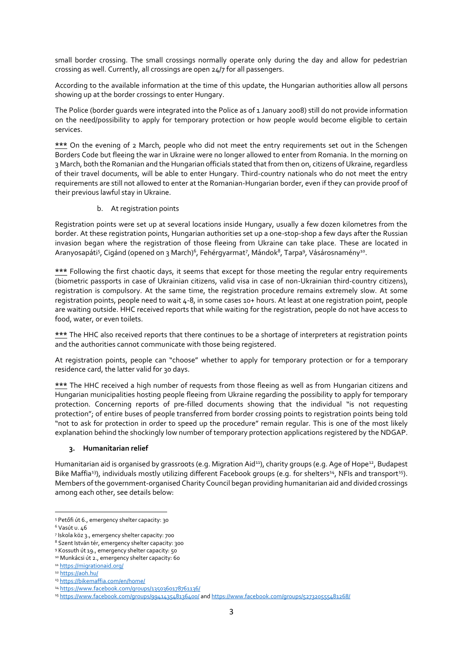small border crossing. The small crossings normally operate only during the day and allow for pedestrian crossing as well. Currently, all crossings are open 24/7 for all passengers.

According to the available information at the time of this update, the Hungarian authorities allow all persons showing up at the border crossings to enter Hungary.

The Police (border guards were integrated into the Police as of 1 January 2008) still do not provide information on the need/possibility to apply for temporary protection or how people would become eligible to certain services.

**\*\*\*** On the evening of 2 March, people who did not meet the entry requirements set out in the Schengen Borders Code but fleeing the war in Ukraine were no longer allowed to enter from Romania. In the morning on 3 March, both the Romanian and the Hungarian officials stated that from then on, citizens of Ukraine, regardless of their travel documents, will be able to enter Hungary. Third-country nationals who do not meet the entry requirements are still not allowed to enter at the Romanian-Hungarian border, even if they can provide proof of their previous lawful stay in Ukraine.

#### b. At registration points

Registration points were set up at several locations inside Hungary, usually a few dozen kilometres from the border. At these registration points, Hungarian authorities set up a one-stop-shop a few days after the Russian invasion began where the registration of those fleeing from Ukraine can take place. These are located in Aranyosapáti<sup>s</sup>, Cigánd (opened on 3 March)<sup>6</sup>, Fehérgyarmat<sup>7</sup>, Mándok<sup>8</sup>, Tarpa<sup>9</sup>, Vásárosnamény<sup>10</sup>.

**\*\*\*** Following the first chaotic days, it seems that except for those meeting the regular entry requirements (biometric passports in case of Ukrainian citizens, valid visa in case of non-Ukrainian third-country citizens), registration is compulsory. At the same time, the registration procedure remains extremely slow. At some registration points, people need to wait 4-8, in some cases 10+ hours. At least at one registration point, people are waiting outside. HHC received reports that while waiting for the registration, people do not have access to food, water, or even toilets.

**\*\*\*** The HHC also received reports that there continues to be a shortage of interpreters at registration points and the authorities cannot communicate with those being registered.

At registration points, people can "choose" whether to apply for temporary protection or for a temporary residence card, the latter valid for 30 days.

**\*\*\*** The HHC received a high number of requests from those fleeing as well as from Hungarian citizens and Hungarian municipalities hosting people fleeing from Ukraine regarding the possibility to apply for temporary protection. Concerning reports of pre-filled documents showing that the individual "is not requesting protection"; of entire buses of people transferred from border crossing points to registration points being told "not to ask for protection in order to speed up the procedure" remain regular. This is one of the most likely explanation behind the shockingly low number of temporary protection applications registered by the NDGAP.

### **3. Humanitarian relief**

Humanitarian aid is organised by grassroots (e.g. Migration Aid<sup>11</sup>), charity groups (e.g. Age of Hope<sup>12</sup>, Budapest Bike Maffia<sup>13</sup>), individuals mostly utilizing different Facebook groups (e.g. for shelters<sup>14</sup>, NFIs and transport<sup>15</sup>). Members of the government-organised Charity Council began providing humanitarian aid and divided crossings among each other, see details below:

**<sup>.</sup>** <sup>5</sup> Petőfi út 6., emergency shelter capacity: 30

<sup>6</sup> Vasút u. 46

<sup>7</sup> Iskola köz 3., emergency shelter capacity: 700

<sup>8</sup> Szent István tér, emergency shelter capacity: 300

<sup>9</sup> Kossuth út 19., emergency shelter capacity: 50

<sup>&</sup>lt;sup>10</sup> Munkácsi út 2., emergency shelter capacity: 60

<sup>11</sup> <https://migrationaid.org/>

<sup>12</sup> <https://aoh.hu/>

<sup>13</sup> <https://bikemaffia.com/en/home/>

<sup>14</sup> [https://www.facebook.com/groups/1350360178761136/](https://www.facebook.com/groups/1350360178761136/?__cft__%5b0%5d=AZXVLNSFnnyxjConAYnfKbXoc5UNBzs-m9kUQwsgHnJz5L3_Yhj6p__rMZ-YIZk64oOUft285kBfDPkVP4M7xIpFh-hf6cosANKCzB5kHs54nLEi96RiEmcJ57VPoaxp-SGxSih-YEhTUa-eJ9ohKpnB&__tn__=-UK-R)

<sup>15</sup> [https://www.facebook.com/groups/994143548136400/](https://www.facebook.com/groups/994143548136400/?%20-hf6cosANKCzB5kHs54nLEi96RiEmcJ57VPoaxp-SGxSih-YEhTUa-eJ9ohKpnB&__tn__=-UK-R) an[d https://www.facebook.com/groups/527320555481268/](https://www.facebook.com/groups/527320555481268/)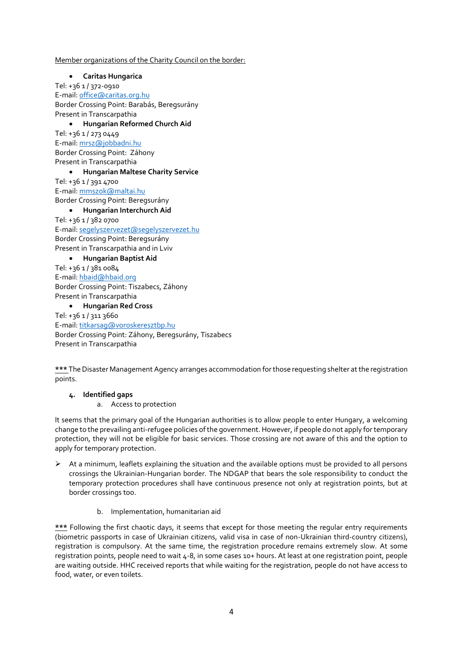#### Member organizations of the Charity Council on the border:

 **Caritas Hungarica** Tel: +36 1 / 372-0910 E-mail[: office@caritas.org.hu](mailto:office@caritas.org.hu) Border Crossing Point: Barabás, Beregsurány Present in Transcarpathia **Hungarian Reformed Church Aid** Tel: +36 1 / 273 0449 E-mail[: mrsz@jobbadni.hu](mailto:mrsz@jobbadni.hu) Border Crossing Point: Záhony Present in Transcarpathia **Hungarian Maltese Charity Service** Tel: +36 1 / 391 4700 E-mail[: mmszok@maltai.hu](mailto:mmszok@maltai.hu) Border Crossing Point: Beregsurány **Hungarian Interchurch Aid** Tel: +36 1 / 382 0700 E-mail[: segelyszervezet@segelyszervezet.hu](mailto:segelyszervezet@segelyszervezet.hu) Border Crossing Point: Beregsurány Present in Transcarpathia and in Lviv **Hungarian Baptist Aid** Tel: +36 1 / 381 0084 E-mail[: hbaid@hbaid.org](mailto:hbaid@hbaid.org) Border Crossing Point: Tiszabecs, Záhony Present in Transcarpathia

## **Hungarian Red Cross**

Tel: +36 1 / 311 3660 E-mail[: titkarsag@voroskeresztbp.hu](mailto:titkarsag@voroskeresztbp.hu) Border Crossing Point: Záhony, Beregsurány, Tiszabecs Present in Transcarpathia

**\*\*\*** TheDisaster Management Agency arranges accommodation forthose requesting shelter at the registration points.

#### **4. Identified gaps**

a. Access to protection

It seems that the primary goal of the Hungarian authorities is to allow people to enter Hungary, a welcoming change to the prevailing anti-refugee policies of the government. However, if people do not apply for temporary protection, they will not be eligible for basic services. Those crossing are not aware of this and the option to apply for temporary protection.

- $\triangleright$  At a minimum, leaflets explaining the situation and the available options must be provided to all persons crossings the Ukrainian-Hungarian border. The NDGAP that bears the sole responsibility to conduct the temporary protection procedures shall have continuous presence not only at registration points, but at border crossings too.
	- b. Implementation, humanitarian aid

**\*\*\*** Following the first chaotic days, it seems that except for those meeting the regular entry requirements (biometric passports in case of Ukrainian citizens, valid visa in case of non-Ukrainian third-country citizens), registration is compulsory. At the same time, the registration procedure remains extremely slow. At some registration points, people need to wait 4-8, in some cases 10+ hours. At least at one registration point, people are waiting outside. HHC received reports that while waiting for the registration, people do not have access to food, water, or even toilets.